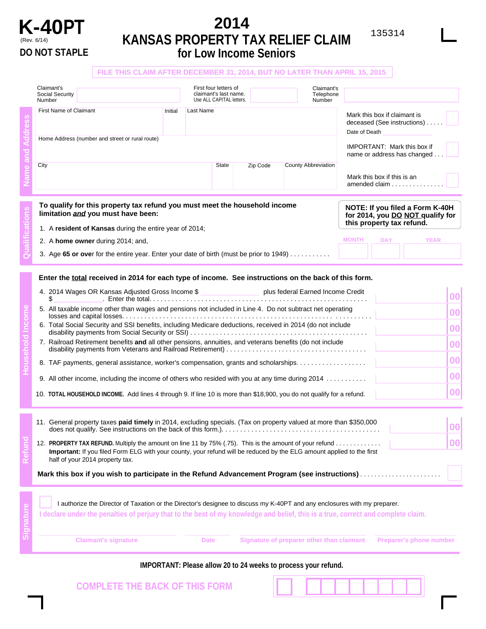

## **K-40PT** 2014<br>**PT** EANSAS PROPERTY TAY RELIEF CLAIM  $^{135314}$ (Rev. 6/14) **KANSAS PROPERTY TAX RELIEF CLAIM DO NOT STAPLE for Low Income Seniors**

| Claimant's                                                                                                       |                                                            |                  |                                                         |                       | Claimant's                                                                                       |                                                                                                                |                                                                                                                                                                                                                                                                                                                                                                                                                                                                                                                                                                                                                                                                                                                                                                                                                                                                                                                                                                                                                                                                                                                                                                                                                                                                                                                                    |
|------------------------------------------------------------------------------------------------------------------|------------------------------------------------------------|------------------|---------------------------------------------------------|-----------------------|--------------------------------------------------------------------------------------------------|----------------------------------------------------------------------------------------------------------------|------------------------------------------------------------------------------------------------------------------------------------------------------------------------------------------------------------------------------------------------------------------------------------------------------------------------------------------------------------------------------------------------------------------------------------------------------------------------------------------------------------------------------------------------------------------------------------------------------------------------------------------------------------------------------------------------------------------------------------------------------------------------------------------------------------------------------------------------------------------------------------------------------------------------------------------------------------------------------------------------------------------------------------------------------------------------------------------------------------------------------------------------------------------------------------------------------------------------------------------------------------------------------------------------------------------------------------|
| Number                                                                                                           |                                                            |                  |                                                         |                       | Number                                                                                           |                                                                                                                |                                                                                                                                                                                                                                                                                                                                                                                                                                                                                                                                                                                                                                                                                                                                                                                                                                                                                                                                                                                                                                                                                                                                                                                                                                                                                                                                    |
| <b>First Name of Claimant</b>                                                                                    | Initial                                                    | <b>Last Name</b> |                                                         |                       | Mark this box if claimant is<br>deceased (See instructions)<br>Date of Death                     |                                                                                                                |                                                                                                                                                                                                                                                                                                                                                                                                                                                                                                                                                                                                                                                                                                                                                                                                                                                                                                                                                                                                                                                                                                                                                                                                                                                                                                                                    |
| Home Address (number and street or rural route)                                                                  |                                                            |                  |                                                         |                       |                                                                                                  | <b>IMPORTANT: Mark this box if</b><br>name or address has changed.                                             |                                                                                                                                                                                                                                                                                                                                                                                                                                                                                                                                                                                                                                                                                                                                                                                                                                                                                                                                                                                                                                                                                                                                                                                                                                                                                                                                    |
| City                                                                                                             |                                                            |                  | State                                                   | Zip Code              | County Abbreviation                                                                              | Mark this box if this is an<br>amended claim                                                                   |                                                                                                                                                                                                                                                                                                                                                                                                                                                                                                                                                                                                                                                                                                                                                                                                                                                                                                                                                                                                                                                                                                                                                                                                                                                                                                                                    |
| To qualify for this property tax refund you must meet the household income<br>limitation and you must have been: |                                                            |                  |                                                         |                       | NOTE: If you filed a Form K-40H<br>for 2014, you DO NOT qualify for<br>this property tax refund. |                                                                                                                |                                                                                                                                                                                                                                                                                                                                                                                                                                                                                                                                                                                                                                                                                                                                                                                                                                                                                                                                                                                                                                                                                                                                                                                                                                                                                                                                    |
|                                                                                                                  |                                                            |                  |                                                         |                       |                                                                                                  | <b>DAY</b><br><b>MONTH</b>                                                                                     |                                                                                                                                                                                                                                                                                                                                                                                                                                                                                                                                                                                                                                                                                                                                                                                                                                                                                                                                                                                                                                                                                                                                                                                                                                                                                                                                    |
|                                                                                                                  |                                                            |                  |                                                         |                       |                                                                                                  |                                                                                                                |                                                                                                                                                                                                                                                                                                                                                                                                                                                                                                                                                                                                                                                                                                                                                                                                                                                                                                                                                                                                                                                                                                                                                                                                                                                                                                                                    |
|                                                                                                                  |                                                            |                  |                                                         |                       |                                                                                                  |                                                                                                                | 00<br>00<br>00<br>00<br>00<br>00<br>00                                                                                                                                                                                                                                                                                                                                                                                                                                                                                                                                                                                                                                                                                                                                                                                                                                                                                                                                                                                                                                                                                                                                                                                                                                                                                             |
| half of your 2014 property tax.                                                                                  |                                                            |                  |                                                         |                       |                                                                                                  | Mark this box if you wish to participate in the Refund Advancement Program (see instructions)                  | $ 00\rangle$<br>00                                                                                                                                                                                                                                                                                                                                                                                                                                                                                                                                                                                                                                                                                                                                                                                                                                                                                                                                                                                                                                                                                                                                                                                                                                                                                                                 |
|                                                                                                                  | Social Security<br>2. A home owner during 2014; and,<br>\$ |                  | 1. A resident of Kansas during the entire year of 2014; | First four letters of | claimant's last name.<br>Use ALL CAPITAL letters.                                                | 3. Age 65 or over for the entire year. Enter your date of birth (must be prior to 1949) $\ldots \ldots \ldots$ | FILE THIS CLAIM AFTER DECEMBER 31, 2014, BUT NO LATER THAN APRIL 15, 2015<br>Telephone<br><b>YEAR</b><br>Enter the total received in 2014 for each type of income. See instructions on the back of this form.<br>4. 2014 Wages OR Kansas Adjusted Gross Income \$ Physical Plus federal Earned Income Credit<br>5. All taxable income other than wages and pensions not included in Line 4. Do not subtract net operating<br>6. Total Social Security and SSI benefits, including Medicare deductions, received in 2014 (do not include<br>7. Railroad Retirement benefits and all other pensions, annuities, and veterans benefits (do not include<br>8. TAF payments, general assistance, worker's compensation, grants and scholarships.<br>9. All other income, including the income of others who resided with you at any time during 2014<br>10. TOTAL HOUSEHOLD INCOME. Add lines 4 through 9. If line 10 is more than \$18,900, you do not qualify for a refund.<br>11. General property taxes paid timely in 2014, excluding specials. (Tax on property valued at more than \$350,000<br>12. PROPERTY TAX REFUND. Multiply the amount on line 11 by 75% (.75). This is the amount of your refund<br>Important: If you filed Form ELG with your county, your refund will be reduced by the ELG amount applied to the first |

**Claimant's signature Date Signature of preparer other than claimant Preparer's phone number IMPORTANT: Please allow 20 to 24 weeks to process your refund. COMPLETE THE BACK OF THIS FORM**